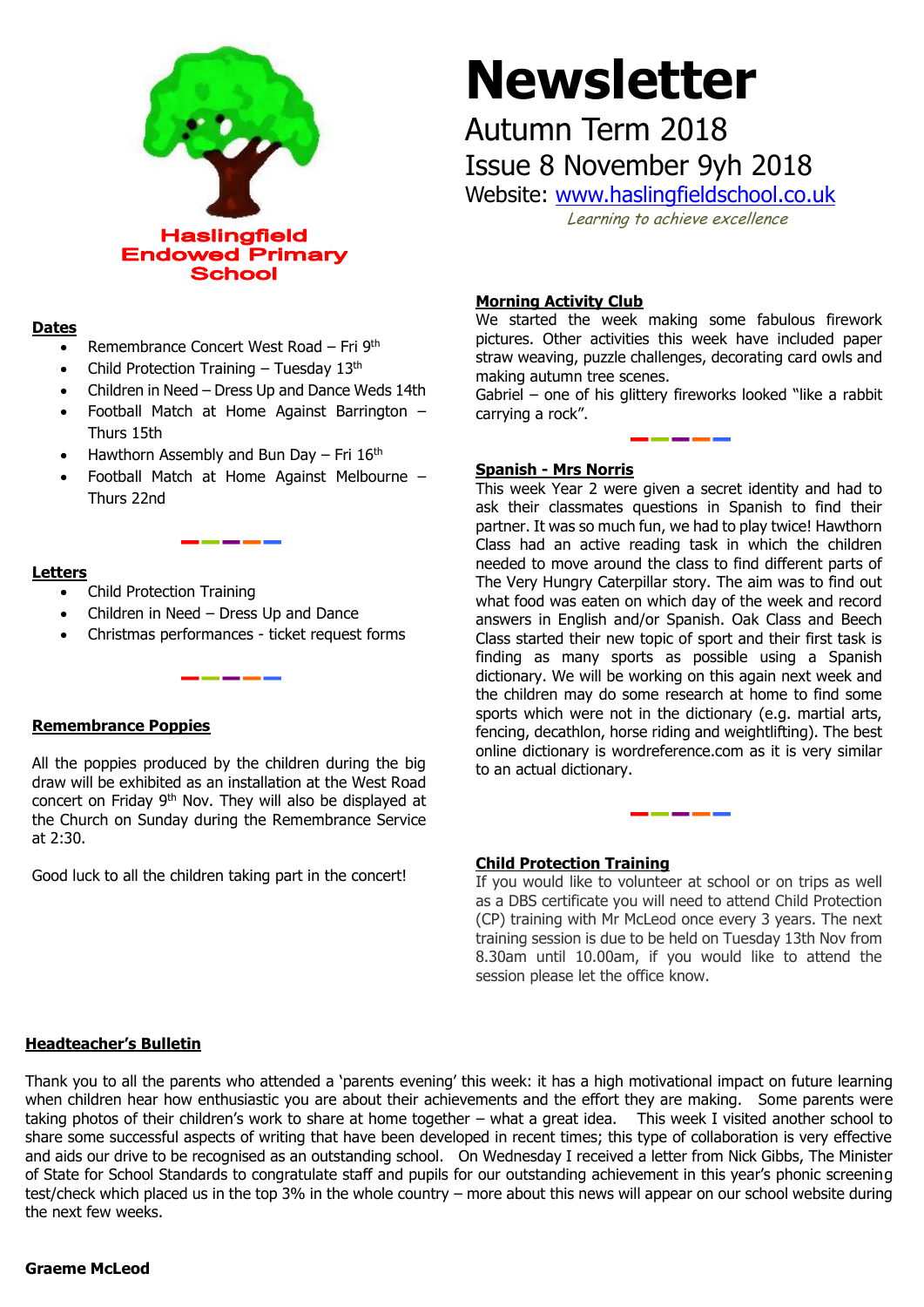

### **Dates**

- Remembrance Concert West Road Fri 9th
- Child Protection Training Tuesday  $13<sup>th</sup>$
- Children in Need Dress Up and Dance Weds 14th
- Football Match at Home Against Barrington Thurs 15th
- Hawthorn Assembly and Bun Day Fri  $16<sup>th</sup>$
- Football Match at Home Against Melbourne Thurs 22nd

### **Letters**

- Child Protection Training
- Children in Need Dress Up and Dance
- Christmas performances ticket request forms

## **Remembrance Poppies**

All the poppies produced by the children during the big draw will be exhibited as an installation at the West Road concert on Friday 9th Nov. They will also be displayed at the Church on Sunday during the Remembrance Service at 2:30.

Good luck to all the children taking part in the concert!

# **Newsletter**

# Autumn Term 2018 Issue 8 November 9yh 2018

Website: [www.haslingfieldschool.co.uk](http://www.haslingfieldschool.co.uk/)

Learning to achieve excellence

## **Morning Activity Club**

We started the week making some fabulous firework pictures. Other activities this week have included paper straw weaving, puzzle challenges, decorating card owls and making autumn tree scenes.

Gabriel – one of his glittery fireworks looked "like a rabbit carrying a rock".

### **Spanish - Mrs Norris**

This week Year 2 were given a secret identity and had to ask their classmates questions in Spanish to find their partner. It was so much fun, we had to play twice! Hawthorn Class had an active reading task in which the children needed to move around the class to find different parts of The Very Hungry Caterpillar story. The aim was to find out what food was eaten on which day of the week and record answers in English and/or Spanish. Oak Class and Beech Class started their new topic of sport and their first task is finding as many sports as possible using a Spanish dictionary. We will be working on this again next week and the children may do some research at home to find some sports which were not in the dictionary (e.g. martial arts, fencing, decathlon, horse riding and weightlifting). The best online dictionary is wordreference.com as it is very similar to an actual dictionary.

### **Child Protection Training**

If you would like to volunteer at school or on trips as well as a DBS certificate you will need to attend Child Protection (CP) training with Mr McLeod once every 3 years. The next training session is due to be held on Tuesday 13th Nov from 8.30am until 10.00am, if you would like to attend the session please let the office know.

# **Headteacher's Bulletin**

Thank you to all the parents who attended a 'parents evening' this week: it has a high motivational impact on future learning when children hear how enthusiastic you are about their achievements and the effort they are making. Some parents were taking photos of their children's work to share at home together – what a great idea. This week I visited another school to share some successful aspects of writing that have been developed in recent times; this type of collaboration is very effective and aids our drive to be recognised as an outstanding school. On Wednesday I received a letter from Nick Gibbs, The Minister of State for School Standards to congratulate staff and pupils for our outstanding achievement in this year's phonic screening test/check which placed us in the top 3% in the whole country – more about this news will appear on our school website during the next few weeks.